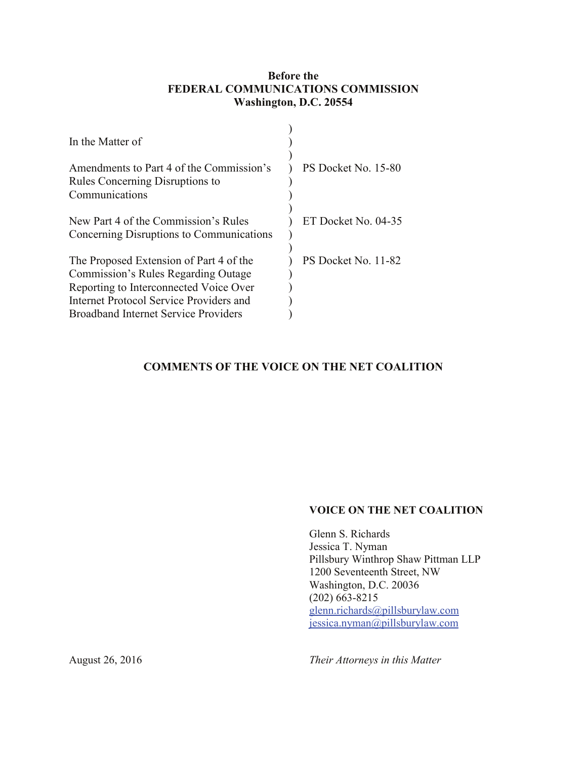## **Before the FEDERAL COMMUNICATIONS COMMISSION Washington, D.C. 20554**

| In the Matter of                                                                                                                                                                                            |                     |
|-------------------------------------------------------------------------------------------------------------------------------------------------------------------------------------------------------------|---------------------|
| Amendments to Part 4 of the Commission's<br>Rules Concerning Disruptions to                                                                                                                                 | PS Docket No. 15-80 |
| Communications                                                                                                                                                                                              |                     |
| New Part 4 of the Commission's Rules<br>Concerning Disruptions to Communications                                                                                                                            | ET Docket No. 04-35 |
| The Proposed Extension of Part 4 of the<br>Commission's Rules Regarding Outage<br>Reporting to Interconnected Voice Over<br>Internet Protocol Service Providers and<br>Broadband Internet Service Providers | PS Docket No. 11-82 |

## **COMMENTS OF THE VOICE ON THE NET COALITION**

#### **VOICE ON THE NET COALITION**

Glenn S. Richards Jessica T. Nyman Pillsbury Winthrop Shaw Pittman LLP 1200 Seventeenth Street, NW Washington, D.C. 20036  $(202)$  663-8215 [glenn.richards@pillsburylaw.com](mailto:glenn.richards@pillsburylaw.com) [jessica.nyman@pillsburylaw.com](mailto:jessica.nyman@pillsburylaw.com)

*Their Attorneys in this Matter*

August 26, 2016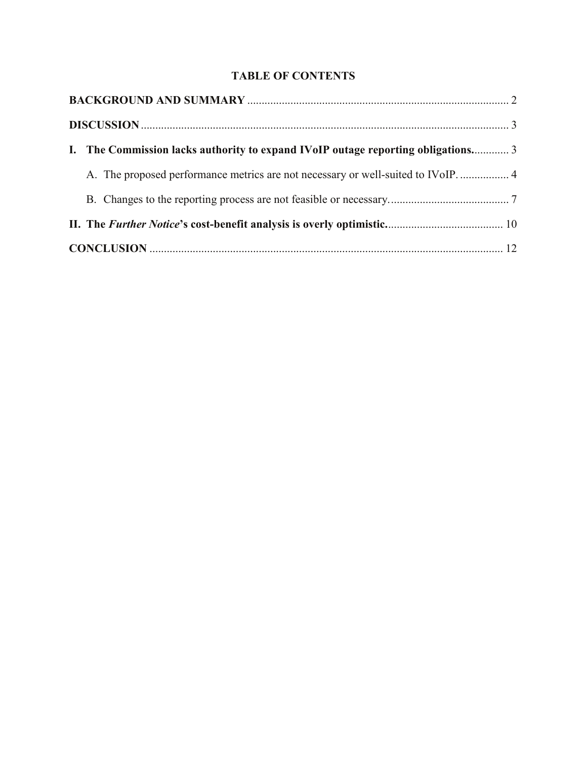# **TABLE OF CONTENTS**

| I. The Commission lacks authority to expand IVoIP outage reporting obligations 3 |  |
|----------------------------------------------------------------------------------|--|
| A. The proposed performance metrics are not necessary or well-suited to IVoIP 4  |  |
|                                                                                  |  |
|                                                                                  |  |
|                                                                                  |  |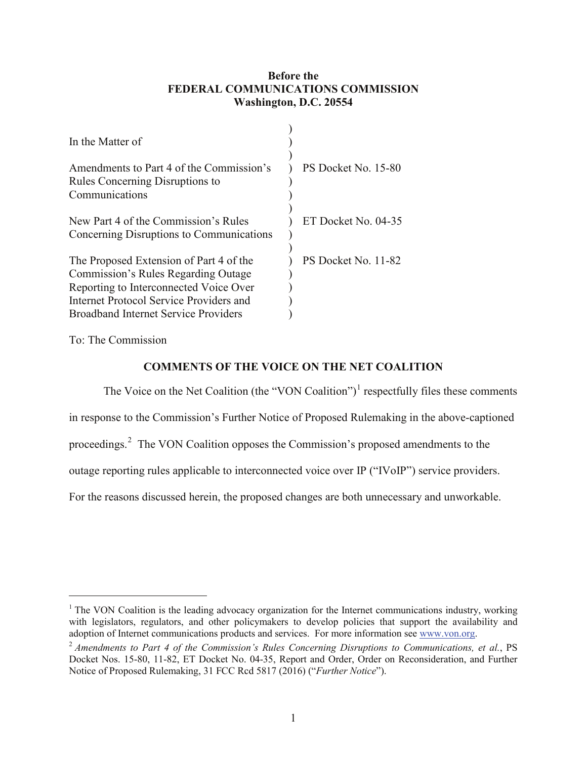## **Before the FEDERAL COMMUNICATIONS COMMISSION Washington, D.C. 20554**

| In the Matter of                                                                                                                                                                                                   |                     |
|--------------------------------------------------------------------------------------------------------------------------------------------------------------------------------------------------------------------|---------------------|
| Amendments to Part 4 of the Commission's<br>Rules Concerning Disruptions to<br>Communications                                                                                                                      | PS Docket No. 15-80 |
| New Part 4 of the Commission's Rules<br>Concerning Disruptions to Communications                                                                                                                                   | ET Docket No. 04-35 |
| The Proposed Extension of Part 4 of the<br>Commission's Rules Regarding Outage<br>Reporting to Interconnected Voice Over<br>Internet Protocol Service Providers and<br><b>Broadband Internet Service Providers</b> | PS Docket No. 11-82 |

To: The Commission

# **COMMENTS OF THE VOICE ON THE NET COALITION**

The Voice on the Net Coalition (the "VON Coalition")<sup>[1](#page-2-0)</sup> respectfully files these comments in response to the Commission's Further Notice of Proposed Rulemaking in the above-captioned proceedings.<sup>[2](#page-2-1)</sup> The VON Coalition opposes the Commission's proposed amendments to the outage reporting rules applicable to interconnected voice over IP ("IVoIP") service providers. For the reasons discussed herein, the proposed changes are both unnecessary and unworkable.

<span id="page-2-0"></span><sup>&</sup>lt;sup>1</sup> The VON Coalition is the leading advocacy organization for the Internet communications industry, working with legislators, regulators, and other policymakers to develop policies that support the availability and adoption of Internet communications products and services. For more information see [www.von.org.](http://www.von.org/)

<span id="page-2-1"></span><sup>2</sup> *Amendments to Part 4 of the Commission's Rules Concerning Disruptions to Communications, et al.*, PS Docket Nos. 15-80, 11-82, ET Docket No. 04-35, Report and Order, Order on Reconsideration, and Further Notice of Proposed Rulemaking, 31 FCC Rcd 5817 (2016) ("*Further Notice*").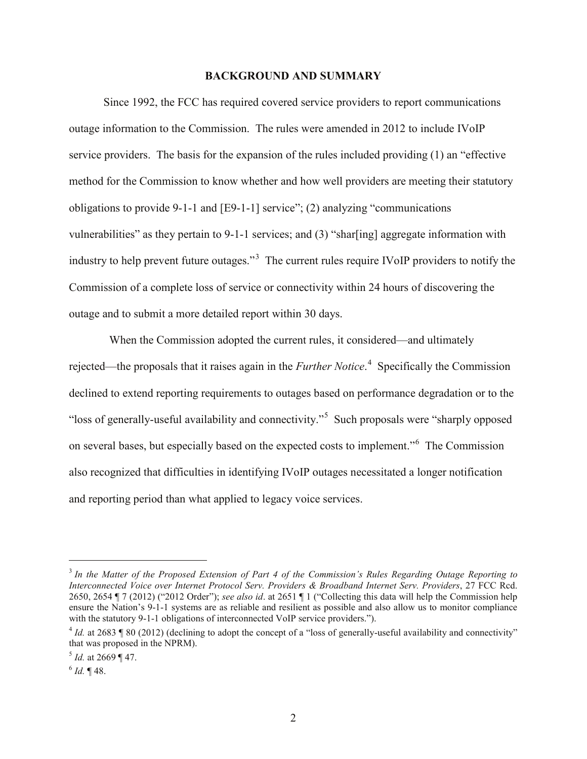#### **BACKGROUND AND SUMMARY**

<span id="page-3-0"></span>Since 1992, the FCC has required covered service providers to report communications outage information to the Commission. The rules were amended in 2012 to include IVoIP service providers. The basis for the expansion of the rules included providing (1) an "effective method for the Commission to know whether and how well providers are meeting their statutory obligations to provide 9-1-1 and [E9-1-1] service"; (2) analyzing "communications vulnerabilities" as they pertain to 9-1-1 services; and (3) "shar[ing] aggregate information with industry to help prevent future outages."[3](#page-3-1) The current rules require IVoIP providers to notify the Commission of a complete loss of service or connectivity within 24 hours of discovering the outage and to submit a more detailed report within 30 days.

 When the Commission adopted the current rules, it considered—and ultimately rejected—the proposals that it raises again in the *Further Notice*. [4](#page-3-2) Specifically the Commission declined to extend reporting requirements to outages based on performance degradation or to the "loss of generally-useful availability and connectivity."<sup>[5](#page-3-3)</sup> Such proposals were "sharply opposed on several bases, but especially based on the expected costs to implement."[6](#page-3-4) The Commission also recognized that difficulties in identifying IVoIP outages necessitated a longer notification and reporting period than what applied to legacy voice services.

<span id="page-3-1"></span> <sup>3</sup> *In the Matter of the Proposed Extension of Part 4 of the Commission's Rules Regarding Outage Reporting to Interconnected Voice over Internet Protocol Serv. Providers & Broadband Internet Serv. Providers*, 27 FCC Rcd. 2650, 2654 ¶ 7 (2012) ("2012 Order"); *see also id*. at 2651 ¶ 1 ("Collecting this data will help the Commission help ensure the Nation's 9-1-1 systems are as reliable and resilient as possible and also allow us to monitor compliance with the statutory 9-1-1 obligations of interconnected VoIP service providers.").

<span id="page-3-2"></span> $^{4}$  *Id.* at 2683 ¶ 80 (2012) (declining to adopt the concept of a "loss of generally-useful availability and connectivity" that was proposed in the NPRM).

<span id="page-3-3"></span> $<sup>5</sup>$  *Id.* at 2669 ¶ 47.</sup>

<span id="page-3-4"></span> $^{6}$  *Id.* ¶ 48.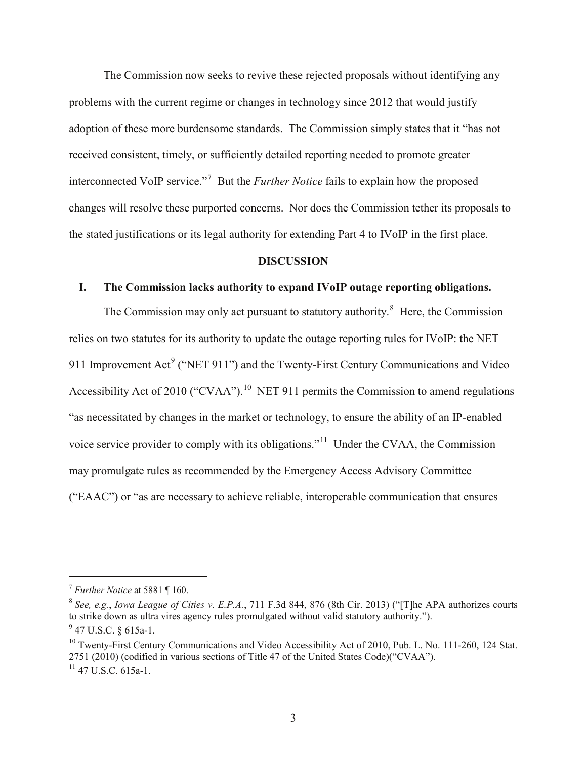The Commission now seeks to revive these rejected proposals without identifying any problems with the current regime or changes in technology since 2012 that would justify adoption of these more burdensome standards. The Commission simply states that it "has not received consistent, timely, or sufficiently detailed reporting needed to promote greater interconnected VoIP service."[7](#page-4-2) But the *Further Notice* fails to explain how the proposed changes will resolve these purported concerns. Nor does the Commission tether its proposals to the stated justifications or its legal authority for extending Part 4 to IVoIP in the first place.

#### **DISCUSSION**

#### <span id="page-4-1"></span><span id="page-4-0"></span>**I. The Commission lacks authority to expand IVoIP outage reporting obligations.**

The Commission may only act pursuant to statutory authority.<sup>[8](#page-4-3)</sup> Here, the Commission relies on two statutes for its authority to update the outage reporting rules for IVoIP: the NET [9](#page-4-4)11 Improvement Act<sup>9</sup> ("NET 911") and the Twenty-First Century Communications and Video Accessibility Act of 20[10](#page-4-5) ("CVAA").<sup>10</sup> NET 911 permits the Commission to amend regulations "as necessitated by changes in the market or technology, to ensure the ability of an IP-enabled voice service provider to comply with its obligations."[11](#page-4-6) Under the CVAA, the Commission may promulgate rules as recommended by the Emergency Access Advisory Committee ("EAAC") or "as are necessary to achieve reliable, interoperable communication that ensures

<span id="page-4-2"></span> <sup>7</sup> *Further Notice* at 5881 ¶ 160.

<span id="page-4-3"></span><sup>8</sup> *See, e.g.*, *Iowa League of Cities v. E.P.A.*, 711 F.3d 844, 876 (8th Cir. 2013) ("[T]he APA authorizes courts to strike down as ultra vires agency rules promulgated without valid statutory authority.").

<span id="page-4-4"></span> $^{9}$  47 U.S.C. § 615a-1.

<span id="page-4-5"></span> $10$  Twenty-First Century Communications and Video Accessibility Act of 2010, Pub. L. No. 111-260, 124 Stat. 2751 (2010) (codified in various sections of Title 47 of the United States Code)("CVAA").

<span id="page-4-6"></span> $11$  47 U.S.C. 615a-1.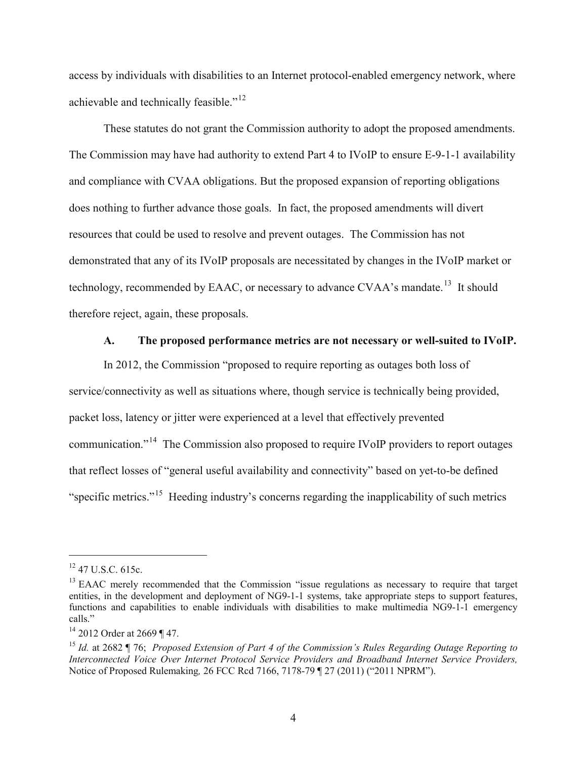access by individuals with disabilities to an Internet protocol-enabled emergency network, where achievable and technically feasible."[12](#page-5-1)

These statutes do not grant the Commission authority to adopt the proposed amendments. The Commission may have had authority to extend Part 4 to IVoIP to ensure E-9-1-1 availability and compliance with CVAA obligations. But the proposed expansion of reporting obligations does nothing to further advance those goals. In fact, the proposed amendments will divert resources that could be used to resolve and prevent outages. The Commission has not demonstrated that any of its IVoIP proposals are necessitated by changes in the IVoIP market or technology, recommended by EAAC, or necessary to advance CVAA's mandate.<sup>[13](#page-5-2)</sup> It should therefore reject, again, these proposals.

#### **A. The proposed performance metrics are not necessary or well-suited to IVoIP.**

<span id="page-5-0"></span>In 2012, the Commission "proposed to require reporting as outages both loss of service/connectivity as well as situations where, though service is technically being provided, packet loss, latency or jitter were experienced at a level that effectively prevented communication."[14](#page-5-3) The Commission also proposed to require IVoIP providers to report outages that reflect losses of "general useful availability and connectivity" based on yet-to-be defined "specific metrics."[15](#page-5-4) Heeding industry's concerns regarding the inapplicability of such metrics

<span id="page-5-1"></span> $12$  47 U.S.C. 615c.

<span id="page-5-2"></span><sup>&</sup>lt;sup>13</sup> EAAC merely recommended that the Commission "issue regulations as necessary to require that target entities, in the development and deployment of NG9-1-1 systems, take appropriate steps to support features, functions and capabilities to enable individuals with disabilities to make multimedia NG9-1-1 emergency calls."

<span id="page-5-3"></span><sup>&</sup>lt;sup>14</sup> 2012 Order at 2669 ¶ 47.

<span id="page-5-4"></span><sup>15</sup> *Id.* at 2682 ¶ 76; *Proposed Extension of Part 4 of the Commission's Rules Regarding Outage Reporting to Interconnected Voice Over Internet Protocol Service Providers and Broadband Internet Service Providers,*  Notice of Proposed Rulemaking*,* 26 FCC Rcd 7166, 7178-79 ¶ 27 (2011) ("2011 NPRM").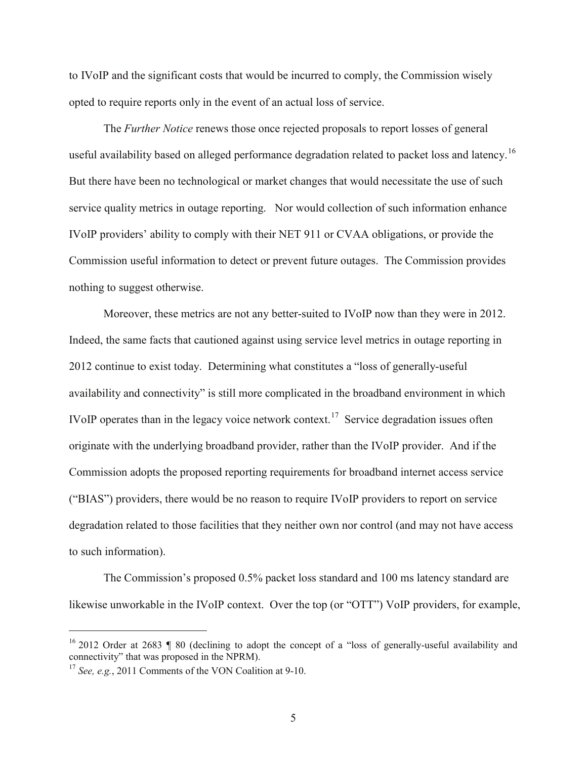to IVoIP and the significant costs that would be incurred to comply, the Commission wisely opted to require reports only in the event of an actual loss of service.

The *Further Notice* renews those once rejected proposals to report losses of general useful availability based on alleged performance degradation related to packet loss and latency.<sup>[16](#page-6-0)</sup> But there have been no technological or market changes that would necessitate the use of such service quality metrics in outage reporting. Nor would collection of such information enhance IVoIP providers' ability to comply with their NET 911 or CVAA obligations, or provide the Commission useful information to detect or prevent future outages. The Commission provides nothing to suggest otherwise.

Moreover, these metrics are not any better-suited to IVoIP now than they were in 2012. Indeed, the same facts that cautioned against using service level metrics in outage reporting in 2012 continue to exist today. Determining what constitutes a "loss of generally-useful availability and connectivity" is still more complicated in the broadband environment in which IVoIP operates than in the legacy voice network context.<sup>17</sup> Service degradation issues often originate with the underlying broadband provider, rather than the IVoIP provider. And if the Commission adopts the proposed reporting requirements for broadband internet access service ("BIAS") providers, there would be no reason to require IVoIP providers to report on service degradation related to those facilities that they neither own nor control (and may not have access to such information).

The Commission's proposed 0.5% packet loss standard and 100 ms latency standard are likewise unworkable in the IVoIP context. Over the top (or "OTT") VoIP providers, for example,

<span id="page-6-0"></span><sup>&</sup>lt;sup>16</sup> 2012 Order at 2683 ¶ 80 (declining to adopt the concept of a "loss of generally-useful availability and connectivity" that was proposed in the NPRM).

<span id="page-6-1"></span><sup>&</sup>lt;sup>17</sup> *See, e.g.*, 2011 Comments of the VON Coalition at 9-10.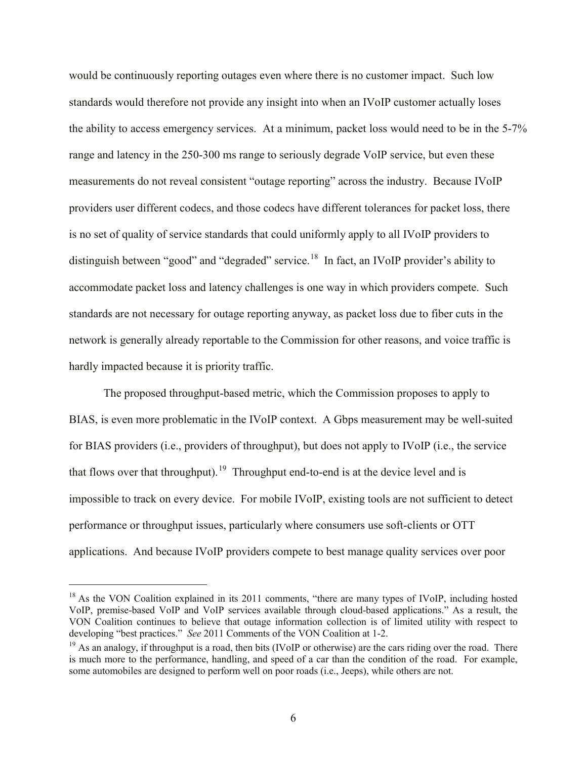would be continuously reporting outages even where there is no customer impact. Such low standards would therefore not provide any insight into when an IVoIP customer actually loses the ability to access emergency services. At a minimum, packet loss would need to be in the 5-7% range and latency in the 250-300 ms range to seriously degrade VoIP service, but even these measurements do not reveal consistent "outage reporting" across the industry. Because IVoIP providers user different codecs, and those codecs have different tolerances for packet loss, there is no set of quality of service standards that could uniformly apply to all IVoIP providers to distinguish between "good" and "degraded" service.<sup>[18](#page-7-0)</sup> In fact, an IVoIP provider's ability to accommodate packet loss and latency challenges is one way in which providers compete. Such standards are not necessary for outage reporting anyway, as packet loss due to fiber cuts in the network is generally already reportable to the Commission for other reasons, and voice traffic is hardly impacted because it is priority traffic.

The proposed throughput-based metric, which the Commission proposes to apply to BIAS, is even more problematic in the IVoIP context. A Gbps measurement may be well-suited for BIAS providers (i.e., providers of throughput), but does not apply to IVoIP (i.e., the service that flows over that throughput).<sup>[19](#page-7-1)</sup> Throughput end-to-end is at the device level and is impossible to track on every device. For mobile IVoIP, existing tools are not sufficient to detect performance or throughput issues, particularly where consumers use soft-clients or OTT applications. And because IVoIP providers compete to best manage quality services over poor

<span id="page-7-0"></span><sup>&</sup>lt;sup>18</sup> As the VON Coalition explained in its 2011 comments, "there are many types of IVoIP, including hosted VoIP, premise-based VoIP and VoIP services available through cloud-based applications." As a result, the VON Coalition continues to believe that outage information collection is of limited utility with respect to developing "best practices." *See* 2011 Comments of the VON Coalition at 1-2.

<span id="page-7-1"></span><sup>&</sup>lt;sup>19</sup> As an analogy, if throughput is a road, then bits (IVoIP or otherwise) are the cars riding over the road. There is much more to the performance, handling, and speed of a car than the condition of the road. For example, some automobiles are designed to perform well on poor roads (i.e., Jeeps), while others are not.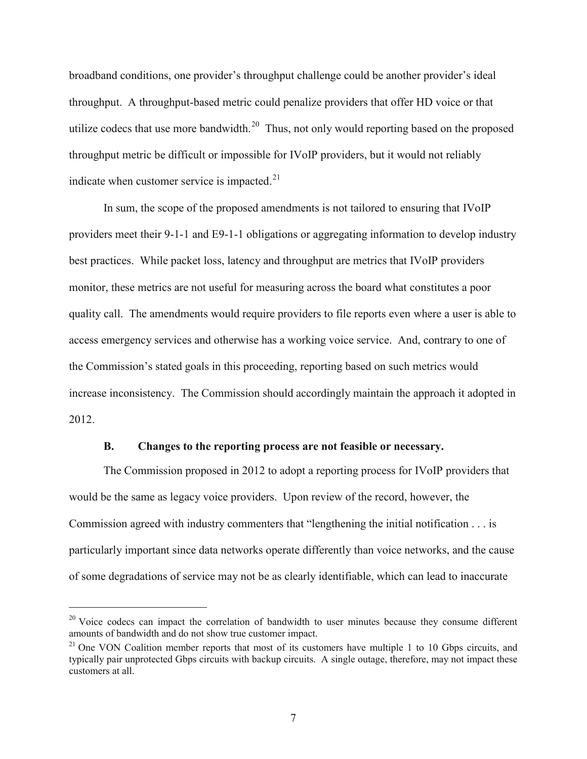broadband conditions, one provider's throughput challenge could be another provider's ideal throughput. A throughput-based metric could penalize providers that offer HD voice or that utilize codecs that use more bandwidth.<sup>20</sup> Thus, not only would reporting based on the proposed throughput metric be difficult or impossible for IVoIP providers, but it would not reliably indicate when customer service is impacted. $21$ 

In sum, the scope of the proposed amendments is not tailored to ensuring that IVoIP providers meet their 9-1-1 and E9-1-1 obligations or aggregating information to develop industry best practices. While packet loss, latency and throughput are metrics that IVoIP providers monitor, these metrics are not useful for measuring across the board what constitutes a poor quality call. The amendments would require providers to file reports even where a user is able to access emergency services and otherwise has a working voice service. And, contrary to one of the Commission's stated goals in this proceeding, reporting based on such metrics would increase inconsistency. The Commission should accordingly maintain the approach it adopted in 2012.

#### **B. Changes to the reporting process are not feasible or necessary.**

<span id="page-8-0"></span>The Commission proposed in 2012 to adopt a reporting process for IVoIP providers that would be the same as legacy voice providers. Upon review of the record, however, the Commission agreed with industry commenters that "lengthening the initial notification . . . is particularly important since data networks operate differently than voice networks, and the cause of some degradations of service may not be as clearly identifiable, which can lead to inaccurate

<span id="page-8-1"></span> $20$  Voice codecs can impact the correlation of bandwidth to user minutes because they consume different amounts of bandwidth and do not show true customer impact.

<span id="page-8-2"></span> $21$  One VON Coalition member reports that most of its customers have multiple 1 to 10 Gbps circuits, and typically pair unprotected Gbps circuits with backup circuits. A single outage, therefore, may not impact these customers at all.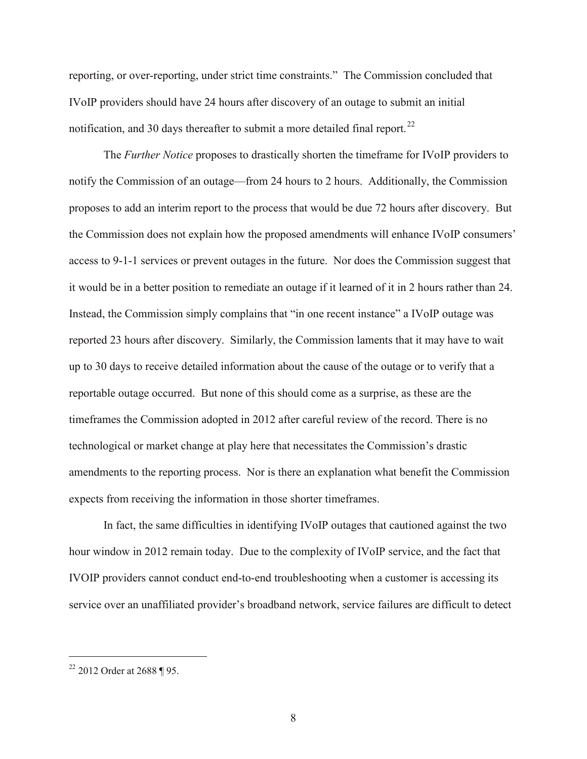reporting, or over-reporting, under strict time constraints." The Commission concluded that IVoIP providers should have 24 hours after discovery of an outage to submit an initial notification, and 30 days thereafter to submit a more detailed final report.<sup>22</sup>

The *Further Notice* proposes to drastically shorten the timeframe for IVoIP providers to notify the Commission of an outage—from 24 hours to 2 hours. Additionally, the Commission proposes to add an interim report to the process that would be due 72 hours after discovery. But the Commission does not explain how the proposed amendments will enhance IVoIP consumers' access to 9-1-1 services or prevent outages in the future. Nor does the Commission suggest that it would be in a better position to remediate an outage if it learned of it in 2 hours rather than 24. Instead, the Commission simply complains that "in one recent instance" a IVoIP outage was reported 23 hours after discovery. Similarly, the Commission laments that it may have to wait up to 30 days to receive detailed information about the cause of the outage or to verify that a reportable outage occurred. But none of this should come as a surprise, as these are the timeframes the Commission adopted in 2012 after careful review of the record. There is no technological or market change at play here that necessitates the Commission's drastic amendments to the reporting process. Nor is there an explanation what benefit the Commission expects from receiving the information in those shorter timeframes.

In fact, the same difficulties in identifying IVoIP outages that cautioned against the two hour window in 2012 remain today. Due to the complexity of IVoIP service, and the fact that IVOIP providers cannot conduct end-to-end troubleshooting when a customer is accessing its service over an unaffiliated provider's broadband network, service failures are difficult to detect

<span id="page-9-0"></span> $22$  2012 Order at 2688 ¶ 95.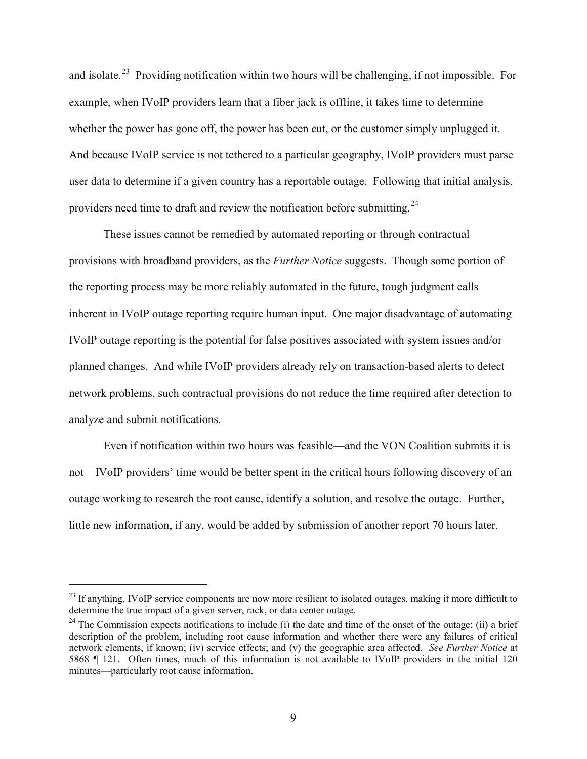and isolate.[23](#page-10-0) Providing notification within two hours will be challenging, if not impossible. For example, when IVoIP providers learn that a fiber jack is offline, it takes time to determine whether the power has gone off, the power has been cut, or the customer simply unplugged it. And because IVoIP service is not tethered to a particular geography, IVoIP providers must parse user data to determine if a given country has a reportable outage. Following that initial analysis, providers need time to draft and review the notification before submitting.<sup>24</sup>

These issues cannot be remedied by automated reporting or through contractual provisions with broadband providers, as the *Further Notice* suggests. Though some portion of the reporting process may be more reliably automated in the future, tough judgment calls inherent in IVoIP outage reporting require human input. One major disadvantage of automating IVoIP outage reporting is the potential for false positives associated with system issues and/or planned changes. And while IVoIP providers already rely on transaction-based alerts to detect network problems, such contractual provisions do not reduce the time required after detection to analyze and submit notifications.

Even if notification within two hours was feasible—and the VON Coalition submits it is not—IVoIP providers' time would be better spent in the critical hours following discovery of an outage working to research the root cause, identify a solution, and resolve the outage. Further, little new information, if any, would be added by submission of another report 70 hours later.

<span id="page-10-0"></span><sup>&</sup>lt;sup>23</sup> If anything, IVoIP service components are now more resilient to isolated outages, making it more difficult to determine the true impact of a given server, rack, or data center outage.

<span id="page-10-1"></span><sup>&</sup>lt;sup>24</sup> The Commission expects notifications to include (i) the date and time of the onset of the outage; (ii) a brief description of the problem, including root cause information and whether there were any failures of critical network elements, if known; (iv) service effects; and (v) the geographic area affected. *See Further Notice* at 5868 ¶ 121. Often times, much of this information is not available to IVoIP providers in the initial 120 minutes—particularly root cause information.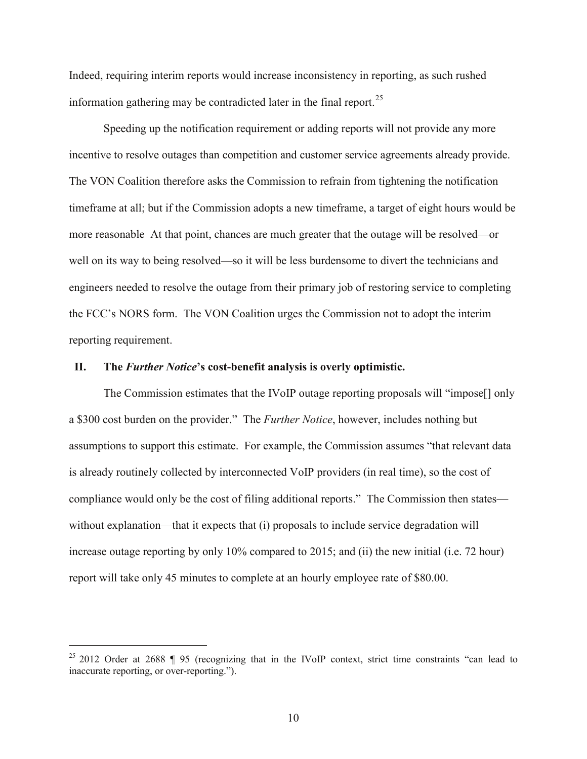Indeed, requiring interim reports would increase inconsistency in reporting, as such rushed information gathering may be contradicted later in the final report.<sup>25</sup>

Speeding up the notification requirement or adding reports will not provide any more incentive to resolve outages than competition and customer service agreements already provide. The VON Coalition therefore asks the Commission to refrain from tightening the notification timeframe at all; but if the Commission adopts a new timeframe, a target of eight hours would be more reasonable At that point, chances are much greater that the outage will be resolved—or well on its way to being resolved—so it will be less burdensome to divert the technicians and engineers needed to resolve the outage from their primary job of restoring service to completing the FCC's NORS form. The VON Coalition urges the Commission not to adopt the interim reporting requirement.

#### <span id="page-11-0"></span>**II. The** *Further Notice***'s cost-benefit analysis is overly optimistic.**

The Commission estimates that the IVoIP outage reporting proposals will "impose[] only a \$300 cost burden on the provider." The *Further Notice*, however, includes nothing but assumptions to support this estimate. For example, the Commission assumes "that relevant data is already routinely collected by interconnected VoIP providers (in real time), so the cost of compliance would only be the cost of filing additional reports." The Commission then states without explanation—that it expects that (i) proposals to include service degradation will increase outage reporting by only 10% compared to 2015; and (ii) the new initial (i.e. 72 hour) report will take only 45 minutes to complete at an hourly employee rate of \$80.00.

<span id="page-11-1"></span><sup>&</sup>lt;sup>25</sup> 2012 Order at 2688 ¶ 95 (recognizing that in the IVoIP context, strict time constraints "can lead to inaccurate reporting, or over-reporting.").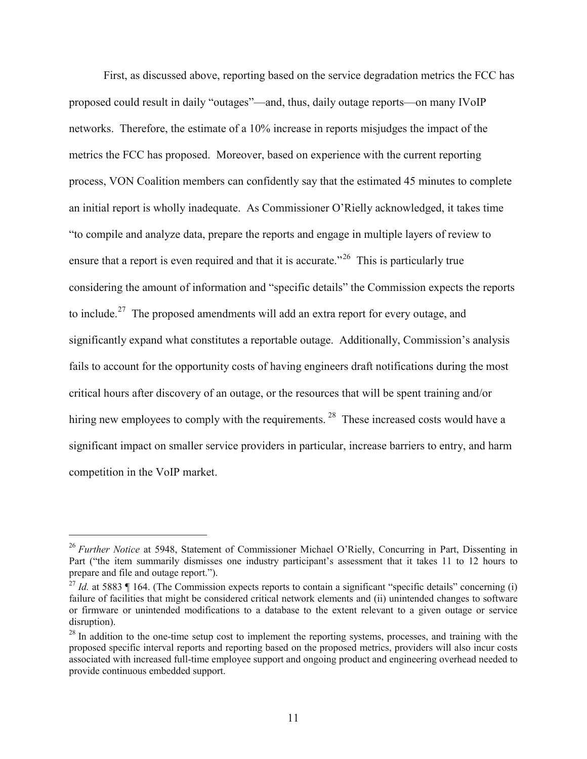First, as discussed above, reporting based on the service degradation metrics the FCC has proposed could result in daily "outages"—and, thus, daily outage reports—on many IVoIP networks. Therefore, the estimate of a 10% increase in reports misjudges the impact of the metrics the FCC has proposed. Moreover, based on experience with the current reporting process, VON Coalition members can confidently say that the estimated 45 minutes to complete an initial report is wholly inadequate. As Commissioner O'Rielly acknowledged, it takes time "to compile and analyze data, prepare the reports and engage in multiple layers of review to ensure that a report is even required and that it is accurate.<sup> $26$ </sup> This is particularly true considering the amount of information and "specific details" the Commission expects the reports to include.<sup>[27](#page-12-1)</sup> The proposed amendments will add an extra report for every outage, and significantly expand what constitutes a reportable outage. Additionally, Commission's analysis fails to account for the opportunity costs of having engineers draft notifications during the most critical hours after discovery of an outage, or the resources that will be spent training and/or hiring new employees to comply with the requirements.<sup>[28](#page-12-2)</sup> These increased costs would have a significant impact on smaller service providers in particular, increase barriers to entry, and harm competition in the VoIP market.

<span id="page-12-0"></span><sup>&</sup>lt;sup>26</sup> *Further Notice* at 5948, Statement of Commissioner Michael O'Rielly, Concurring in Part, Dissenting in Part ("the item summarily dismisses one industry participant's assessment that it takes 11 to 12 hours to prepare and file and outage report.").

<span id="page-12-1"></span><sup>&</sup>lt;sup>27</sup> *Id.* at 5883 ¶ 164. (The Commission expects reports to contain a significant "specific details" concerning (i) failure of facilities that might be considered critical network elements and (ii) unintended changes to software or firmware or unintended modifications to a database to the extent relevant to a given outage or service disruption).

<span id="page-12-2"></span><sup>&</sup>lt;sup>28</sup> In addition to the one-time setup cost to implement the reporting systems, processes, and training with the proposed specific interval reports and reporting based on the proposed metrics, providers will also incur costs associated with increased full-time employee support and ongoing product and engineering overhead needed to provide continuous embedded support.